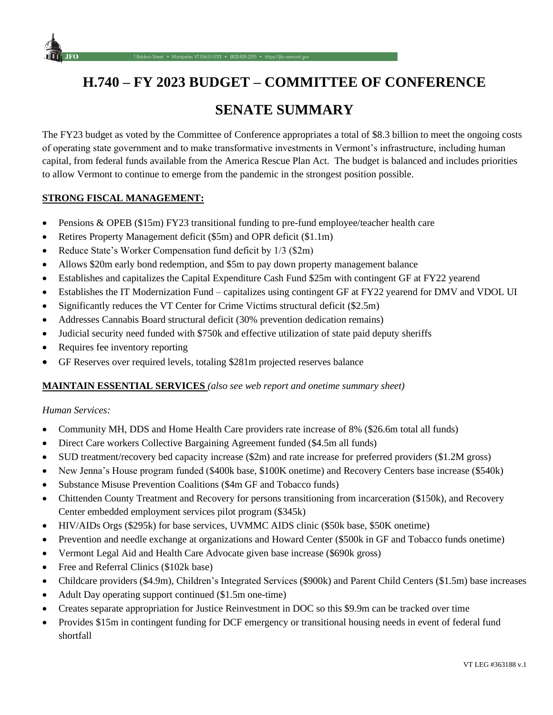

# **SENATE SUMMARY**

The FY23 budget as voted by the Committee of Conference appropriates a total of \$8.3 billion to meet the ongoing costs of operating state government and to make transformative investments in Vermont's infrastructure, including human capital, from federal funds available from the America Rescue Plan Act. The budget is balanced and includes priorities to allow Vermont to continue to emerge from the pandemic in the strongest position possible.

# **STRONG FISCAL MANAGEMENT:**

• Pensions & OPEB (\$15m) FY23 transitional funding to pre-fund employee/teacher health care

eet • Montpelier, VT 05633-5701 • (802) 828-2295 • https://lifo.vermont.gov

- Retires Property Management deficit (\$5m) and OPR deficit (\$1.1m)
- Reduce State's Worker Compensation fund deficit by 1/3 (\$2m)
- Allows \$20m early bond redemption, and \$5m to pay down property management balance
- Establishes and capitalizes the Capital Expenditure Cash Fund \$25m with contingent GF at FY22 yearend
- Establishes the IT Modernization Fund capitalizes using contingent GF at FY22 yearend for DMV and VDOL UI
- Significantly reduces the VT Center for Crime Victims structural deficit (\$2.5m)
- Addresses Cannabis Board structural deficit (30% prevention dedication remains)
- Judicial security need funded with \$750k and effective utilization of state paid deputy sheriffs
- Requires fee inventory reporting
- GF Reserves over required levels, totaling \$281m projected reserves balance

## **MAINTAIN ESSENTIAL SERVICES** *(also see web report and onetime summary sheet)*

#### *Human Services:*

- Community MH, DDS and Home Health Care providers rate increase of 8% (\$26.6m total all funds)
- Direct Care workers Collective Bargaining Agreement funded (\$4.5m all funds)
- SUD treatment/recovery bed capacity increase (\$2m) and rate increase for preferred providers (\$1.2M gross)
- New Jenna's House program funded (\$400k base, \$100K onetime) and Recovery Centers base increase (\$540k)
- Substance Misuse Prevention Coalitions (\$4m GF and Tobacco funds)
- Chittenden County Treatment and Recovery for persons transitioning from incarceration (\$150k), and Recovery Center embedded employment services pilot program (\$345k)
- HIV/AIDs Orgs (\$295k) for base services, UVMMC AIDS clinic (\$50k base, \$50K onetime)
- Prevention and needle exchange at organizations and Howard Center (\$500k in GF and Tobacco funds onetime)
- Vermont Legal Aid and Health Care Advocate given base increase (\$690k gross)
- Free and Referral Clinics (\$102k base)
- Childcare providers (\$4.9m), Children's Integrated Services (\$900k) and Parent Child Centers (\$1.5m) base increases
- Adult Day operating support continued (\$1.5m one-time)
- Creates separate appropriation for Justice Reinvestment in DOC so this \$9.9m can be tracked over time
- Provides \$15m in contingent funding for DCF emergency or transitional housing needs in event of federal fund shortfall